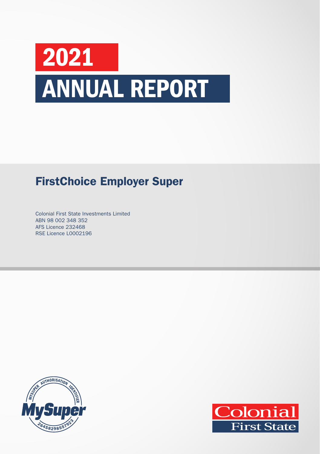# 2021 ANNUAL REPORT

## FirstChoice Employer Super

Colonial First State Investments Limited ABN 98 002 348 352 AFS Licence 232468 RSE Licence L0002196



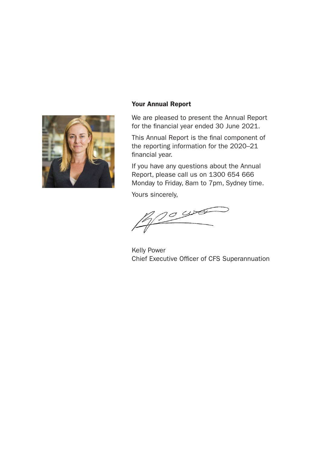

#### Your Annual Report

We are pleased to present the Annual Report for the financial year ended 30 June 2021.

This Annual Report is the final component of the reporting information for the 2020–21 financial year.

If you have any questions about the Annual Report, please call us on 1300 654 666 Monday to Friday, 8am to 7pm, Sydney time.

Yours sincerely,

 $20,000$ 

Kelly Power Chief Executive Officer of CFS Superannuation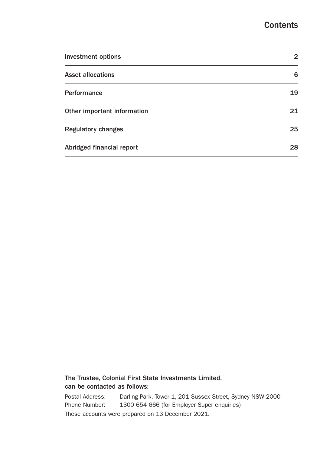### **Contents**

| <b>Investment options</b>   | 2  |
|-----------------------------|----|
| <b>Asset allocations</b>    | 6  |
| Performance                 | 19 |
| Other important information | 21 |
| <b>Regulatory changes</b>   | 25 |
| Abridged financial report   | 28 |

#### The Trustee, Colonial First State Investments Limited, can be contacted as follows:

Postal Address: Darling Park, Tower 1, 201 Sussex Street, Sydney NSW 2000 Phone Number: 1300 654 666 (for Employer Super enquiries) These accounts were prepared on 13 December 2021.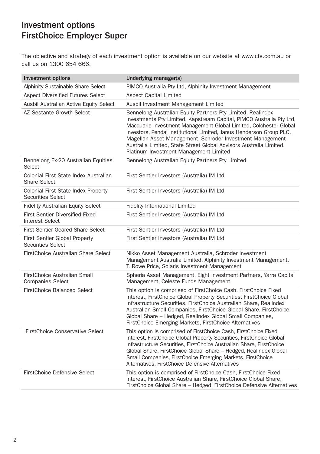The objective and strategy of each investment option is available on our website at www[.cfs.com.au](http://colonialfirststate.com.au/prospects/FS734.pdf) or call us on 1300 654 666.

| <b>Investment options</b>                                              | Underlying manager(s)                                                                                                                                                                                                                                                                                                                                                                                                                                        |
|------------------------------------------------------------------------|--------------------------------------------------------------------------------------------------------------------------------------------------------------------------------------------------------------------------------------------------------------------------------------------------------------------------------------------------------------------------------------------------------------------------------------------------------------|
| Alphinity Sustainable Share Select                                     | PIMCO Australia Pty Ltd, Alphinity Investment Management                                                                                                                                                                                                                                                                                                                                                                                                     |
| <b>Aspect Diversified Futures Select</b>                               | <b>Aspect Capital Limited</b>                                                                                                                                                                                                                                                                                                                                                                                                                                |
| Ausbil Australian Active Equity Select                                 | Ausbil Investment Management Limited                                                                                                                                                                                                                                                                                                                                                                                                                         |
| AZ Sestante Growth Select                                              | Bennelong Australian Equity Partners Pty Limited, Realindex<br>Investments Pty Limited, Kapstream Capital, PIMCO Australia Pty Ltd,<br>Macquarie Investment Management Global Limited, Colchester Global<br>Investors, Pendal Institutional Limited, Janus Henderson Group PLC,<br>Magellan Asset Management, Schroder Investment Management<br>Australia Limited, State Street Global Advisors Australia Limited,<br>Platinum Investment Management Limited |
| Bennelong Ex-20 Australian Equities<br>Select                          | Bennelong Australian Equity Partners Pty Limited                                                                                                                                                                                                                                                                                                                                                                                                             |
| Colonial First State Index Australian<br>Share Select                  | First Sentier Investors (Australia) IM Ltd                                                                                                                                                                                                                                                                                                                                                                                                                   |
| <b>Colonial First State Index Property</b><br><b>Securities Select</b> | First Sentier Investors (Australia) IM Ltd                                                                                                                                                                                                                                                                                                                                                                                                                   |
| <b>Fidelity Australian Equity Select</b>                               | <b>Fidelity International Limited</b>                                                                                                                                                                                                                                                                                                                                                                                                                        |
| <b>First Sentier Diversified Fixed</b><br><b>Interest Select</b>       | First Sentier Investors (Australia) IM Ltd                                                                                                                                                                                                                                                                                                                                                                                                                   |
| First Sentier Geared Share Select                                      | First Sentier Investors (Australia) IM Ltd                                                                                                                                                                                                                                                                                                                                                                                                                   |
| <b>First Sentier Global Property</b><br><b>Securities Select</b>       | First Sentier Investors (Australia) IM Ltd                                                                                                                                                                                                                                                                                                                                                                                                                   |
| FirstChoice Australian Share Select                                    | Nikko Asset Management Australia, Schroder Investment<br>Management Australia Limited, Alphinity Investment Management,<br>T. Rowe Price, Solaris Investment Management                                                                                                                                                                                                                                                                                      |
| FirstChoice Australian Small<br><b>Companies Select</b>                | Spheria Asset Management, Eight Investment Partners, Yarra Capital<br>Management, Celeste Funds Management                                                                                                                                                                                                                                                                                                                                                   |
| <b>FirstChoice Balanced Select</b>                                     | This option is comprised of FirstChoice Cash, FirstChoice Fixed<br>Interest, FirstChoice Global Property Securities, FirstChoice Global<br>Infrastructure Securities, FirstChoice Australian Share, Realindex<br>Australian Small Companies, FirstChoice Global Share, FirstChoice<br>Global Share - Hedged, Realindex Global Small Companies,<br>FirstChoice Emerging Markets, FirstChoice Alternatives                                                     |
| <b>FirstChoice Conservative Select</b>                                 | This option is comprised of FirstChoice Cash, FirstChoice Fixed<br>Interest, FirstChoice Global Property Securities, FirstChoice Global<br>Infrastructure Securities, FirstChoice Australian Share, FirstChoice<br>Global Share, FirstChoice Global Share - Hedged, Realindex Global<br>Small Companies, FirstChoice Emerging Markets, FirstChoice<br>Alternatives, FirstChoice Defensive Alternatives                                                       |
| <b>FirstChoice Defensive Select</b>                                    | This option is comprised of FirstChoice Cash, FirstChoice Fixed<br>Interest, FirstChoice Australian Share, FirstChoice Global Share,<br>FirstChoice Global Share - Hedged, FirstChoice Defensive Alternatives                                                                                                                                                                                                                                                |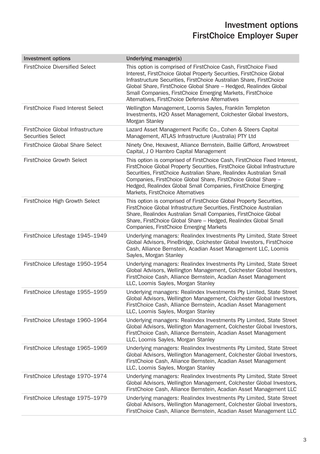| <b>Investment options</b>                              | Underlying manager(s)                                                                                                                                                                                                                                                                                                                                                                                    |
|--------------------------------------------------------|----------------------------------------------------------------------------------------------------------------------------------------------------------------------------------------------------------------------------------------------------------------------------------------------------------------------------------------------------------------------------------------------------------|
| <b>FirstChoice Diversified Select</b>                  | This option is comprised of FirstChoice Cash, FirstChoice Fixed<br>Interest, FirstChoice Global Property Securities, FirstChoice Global<br>Infrastructure Securities, FirstChoice Australian Share, FirstChoice<br>Global Share, FirstChoice Global Share - Hedged, Realindex Global<br>Small Companies, FirstChoice Emerging Markets, FirstChoice<br>Alternatives, FirstChoice Defensive Alternatives   |
| <b>FirstChoice Fixed Interest Select</b>               | Wellington Management, Loomis Sayles, Franklin Templeton<br>Investments, H2O Asset Management, Colchester Global Investors,<br>Morgan Stanley                                                                                                                                                                                                                                                            |
| FirstChoice Global Infrastructure<br>Securities Select | Lazard Asset Management Pacific Co., Cohen & Steers Capital<br>Management, ATLAS Infrastructure (Australia) PTY Ltd                                                                                                                                                                                                                                                                                      |
| FirstChoice Global Share Select                        | Ninety One, Hexavest, Alliance Bernstein, Baillie Gifford, Arrowstreet<br>Capital, J O Hambro Capital Management                                                                                                                                                                                                                                                                                         |
| FirstChoice Growth Select                              | This option is comprised of FirstChoice Cash, FirstChoice Fixed Interest,<br>FirstChoice Global Property Securities, FirstChoice Global Infrastructure<br>Securities, FirstChoice Australian Share, Realindex Australian Small<br>Companies, FirstChoice Global Share, FirstChoice Global Share -<br>Hedged, Realindex Global Small Companies, FirstChoice Emerging<br>Markets, FirstChoice Alternatives |
| FirstChoice High Growth Select                         | This option is comprised of FirstChoice Global Property Securities,<br>FirstChoice Global Infrastructure Securities, FirstChoice Australian<br>Share, Realindex Australian Small Companies, FirstChoice Global<br>Share, FirstChoice Global Share - Hedged, Realindex Global Small<br>Companies, FirstChoice Emerging Markets                                                                            |
| FirstChoice Lifestage 1945-1949                        | Underlying managers: Realindex Investments Pty Limited, State Street<br>Global Advisors, PineBridge, Colchester Global Investors, FirstChoice<br>Cash, Alliance Bernstein, Acadian Asset Management LLC, Loomis<br>Sayles, Morgan Stanley                                                                                                                                                                |
| FirstChoice Lifestage 1950-1954                        | Underlying managers: Realindex Investments Pty Limited, State Street<br>Global Advisors, Wellington Management, Colchester Global Investors,<br>FirstChoice Cash, Alliance Bernstein, Acadian Asset Management<br>LLC, Loomis Sayles, Morgan Stanley                                                                                                                                                     |
| FirstChoice Lifestage 1955-1959                        | Underlying managers: Realindex Investments Pty Limited, State Street<br>Global Advisors, Wellington Management, Colchester Global Investors,<br>FirstChoice Cash, Alliance Bernstein, Acadian Asset Management<br>LLC, Loomis Sayles, Morgan Stanley                                                                                                                                                     |
| FirstChoice Lifestage 1960-1964                        | Underlying managers: Realindex Investments Pty Limited, State Street<br>Global Advisors, Wellington Management, Colchester Global Investors,<br>FirstChoice Cash, Alliance Bernstein, Acadian Asset Management<br>LLC, Loomis Sayles, Morgan Stanley                                                                                                                                                     |
| FirstChoice Lifestage 1965-1969                        | Underlying managers: Realindex Investments Pty Limited, State Street<br>Global Advisors, Wellington Management, Colchester Global Investors,<br>FirstChoice Cash, Alliance Bernstein, Acadian Asset Management<br>LLC, Loomis Sayles, Morgan Stanley                                                                                                                                                     |
| FirstChoice Lifestage 1970-1974                        | Underlying managers: Realindex Investments Pty Limited, State Street<br>Global Advisors, Wellington Management, Colchester Global Investors,<br>FirstChoice Cash, Alliance Bernstein, Acadian Asset Management LLC                                                                                                                                                                                       |
| FirstChoice Lifestage 1975-1979                        | Underlying managers: Realindex Investments Pty Limited, State Street<br>Global Advisors, Wellington Management, Colchester Global Investors,<br>FirstChoice Cash, Alliance Bernstein, Acadian Asset Management LLC                                                                                                                                                                                       |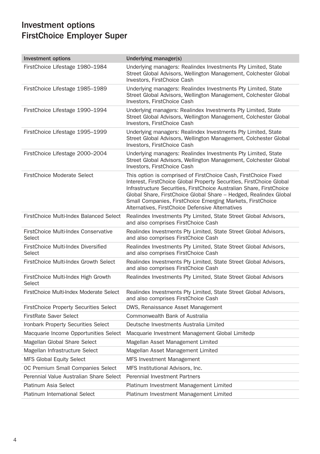| <b>Investment options</b>                      | Underlying manager(s)                                                                                                                                                                                                                                                                                                                                                                                  |
|------------------------------------------------|--------------------------------------------------------------------------------------------------------------------------------------------------------------------------------------------------------------------------------------------------------------------------------------------------------------------------------------------------------------------------------------------------------|
| FirstChoice Lifestage 1980-1984                | Underlying managers: Realindex Investments Pty Limited, State<br>Street Global Advisors, Wellington Management, Colchester Global<br>Investors, FirstChoice Cash                                                                                                                                                                                                                                       |
| FirstChoice Lifestage 1985-1989                | Underlying managers: Realindex Investments Pty Limited, State<br>Street Global Advisors, Wellington Management, Colchester Global<br>Investors, FirstChoice Cash                                                                                                                                                                                                                                       |
| FirstChoice Lifestage 1990-1994                | Underlying managers: Realindex Investments Pty Limited, State<br>Street Global Advisors, Wellington Management, Colchester Global<br>Investors, FirstChoice Cash                                                                                                                                                                                                                                       |
| FirstChoice Lifestage 1995-1999                | Underlying managers: Realindex Investments Pty Limited, State<br>Street Global Advisors, Wellington Management, Colchester Global<br>Investors, FirstChoice Cash                                                                                                                                                                                                                                       |
| FirstChoice Lifestage 2000-2004                | Underlying managers: Realindex Investments Pty Limited, State<br>Street Global Advisors, Wellington Management, Colchester Global<br>Investors, FirstChoice Cash                                                                                                                                                                                                                                       |
| <b>FirstChoice Moderate Select</b>             | This option is comprised of FirstChoice Cash, FirstChoice Fixed<br>Interest, FirstChoice Global Property Securities, FirstChoice Global<br>Infrastructure Securities, FirstChoice Australian Share, FirstChoice<br>Global Share, FirstChoice Global Share - Hedged, Realindex Global<br>Small Companies, FirstChoice Emerging Markets, FirstChoice<br>Alternatives, FirstChoice Defensive Alternatives |
| FirstChoice Multi-Index Balanced Select        | Realindex Investments Pty Limited, State Street Global Advisors,<br>and also comprises FirstChoice Cash                                                                                                                                                                                                                                                                                                |
| FirstChoice Multi-Index Conservative<br>Select | Realindex Investments Pty Limited, State Street Global Advisors,<br>and also comprises FirstChoice Cash                                                                                                                                                                                                                                                                                                |
| FirstChoice Multi-Index Diversified<br>Select  | Realindex Investments Pty Limited, State Street Global Advisors,<br>and also comprises FirstChoice Cash                                                                                                                                                                                                                                                                                                |
| FirstChoice Multi-Index Growth Select          | Realindex Investments Pty Limited, State Street Global Advisors,<br>and also comprises FirstChoice Cash                                                                                                                                                                                                                                                                                                |
| FirstChoice Multi-Index High Growth<br>Select  | Realindex Investments Pty Limited, State Street Global Advisors                                                                                                                                                                                                                                                                                                                                        |
| FirstChoice Multi-Index Moderate Select        | Realindex Investments Pty Limited, State Street Global Advisors,<br>and also comprises FirstChoice Cash                                                                                                                                                                                                                                                                                                |
| <b>FirstChoice Property Securities Select</b>  | DWS, Renaissance Asset Management                                                                                                                                                                                                                                                                                                                                                                      |
| FirstRate Saver Select                         | Commonwealth Bank of Australia                                                                                                                                                                                                                                                                                                                                                                         |
| Ironbark Property Securities Select            | Deutsche Investments Australia Limited                                                                                                                                                                                                                                                                                                                                                                 |
| Macquarie Income Opportunities Select          | Macquarie Investment Management Global Limitedp                                                                                                                                                                                                                                                                                                                                                        |
| Magellan Global Share Select                   | Magellan Asset Management Limited                                                                                                                                                                                                                                                                                                                                                                      |
| Magellan Infrastructure Select                 | Magellan Asset Management Limited                                                                                                                                                                                                                                                                                                                                                                      |
| <b>MFS Global Equity Select</b>                | MFS Investment Management                                                                                                                                                                                                                                                                                                                                                                              |
| OC Premium Small Companies Select              | MFS Institutional Advisors, Inc.                                                                                                                                                                                                                                                                                                                                                                       |
| Perennial Value Australian Share Select        | Perennial Investment Partners                                                                                                                                                                                                                                                                                                                                                                          |
| <b>Platinum Asia Select</b>                    | Platinum Investment Management Limited                                                                                                                                                                                                                                                                                                                                                                 |
| Platinum International Select                  | Platinum Investment Management Limited                                                                                                                                                                                                                                                                                                                                                                 |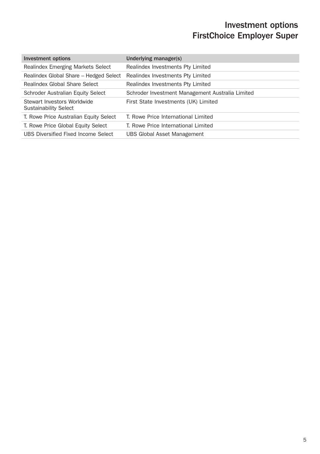| <b>Investment options</b>                                   | Underlying manager(s)                            |
|-------------------------------------------------------------|--------------------------------------------------|
| Realindex Emerging Markets Select                           | Realindex Investments Pty Limited                |
| Realindex Global Share - Hedged Select                      | Realindex Investments Pty Limited                |
| Realindex Global Share Select                               | Realindex Investments Pty Limited                |
| Schroder Australian Equity Select                           | Schroder Investment Management Australia Limited |
| Stewart Investors Worldwide<br><b>Sustainability Select</b> | First State Investments (UK) Limited             |
| T. Rowe Price Australian Equity Select                      | T. Rowe Price International Limited              |
| T. Rowe Price Global Equity Select                          | T. Rowe Price International Limited              |
| UBS Diversified Fixed Income Select                         | <b>UBS Global Asset Management</b>               |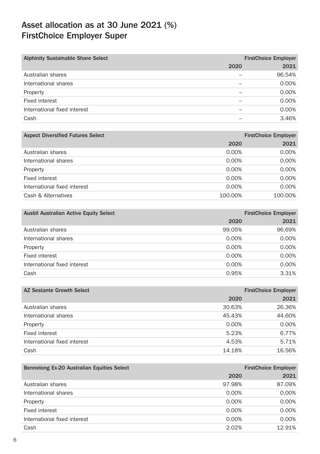| <b>Alphinity Sustainable Share Select</b> |      | <b>FirstChoice Employer</b> |
|-------------------------------------------|------|-----------------------------|
|                                           | 2020 | 2021                        |
| Australian shares                         |      | 96.54%                      |
| International shares                      |      | 0.00%                       |
| Property                                  |      | 0.00%                       |
| Fixed interest                            |      | 0.00%                       |
| International fixed interest              |      | 0.00%                       |
| Cash                                      |      | 3.46%                       |

| <b>Aspect Diversified Futures Select</b> |          | <b>FirstChoice Employer</b> |
|------------------------------------------|----------|-----------------------------|
|                                          | 2020     | 2021                        |
| Australian shares                        | $0.00\%$ | 0.00%                       |
| International shares                     | 0.00%    | 0.00%                       |
| Property                                 | $0.00\%$ | 0.00%                       |
| Fixed interest                           | 0.00%    | 0.00%                       |
| International fixed interest             | $0.00\%$ | 0.00%                       |
| Cash & Alternatives                      | 100.00%  | 100.00%                     |

| <b>Ausbil Australian Active Equity Select</b> |        | <b>FirstChoice Employer</b> |
|-----------------------------------------------|--------|-----------------------------|
|                                               | 2020   | 2021                        |
| Australian shares                             | 99.05% | 96.69%                      |
| International shares                          | 0.00%  | 0.00%                       |
| Property                                      | 0.00%  | 0.00%                       |
| Fixed interest                                | 0.00%  | 0.00%                       |
| International fixed interest                  | 0.00%  | 0.00%                       |
| Cash                                          | 0.95%  | 3.31%                       |

| AZ Sestante Growth Select    |        | <b>FirstChoice Employer</b> |
|------------------------------|--------|-----------------------------|
|                              | 2020   | 2021                        |
| Australian shares            | 30.63% | 26.36%                      |
| International shares         | 45.43% | 44.60%                      |
| Property                     | 0.00%  | 0.00%                       |
| Fixed interest               | 5.23%  | 6.77%                       |
| International fixed interest | 4.53%  | 5.71%                       |
| Cash                         | 14.18% | 16.56%                      |

| Bennelong Ex-20 Australian Equities Select |        | <b>FirstChoice Employer</b> |
|--------------------------------------------|--------|-----------------------------|
|                                            | 2020   | 2021                        |
| Australian shares                          | 97.98% | 87.09%                      |
| International shares                       | 0.00%  | 0.00%                       |
| Property                                   | 0.00%  | $0.00\%$                    |
| Fixed interest                             | 0.00%  | 0.00%                       |
| International fixed interest               | 0.00%  | 0.00%                       |
| Cash                                       | 2.02%  | 12.91%                      |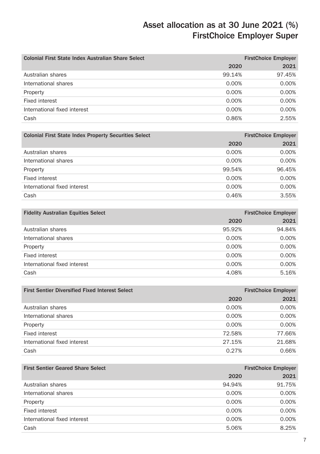| Colonial First State Index Australian Share Select |        | <b>FirstChoice Employer</b> |
|----------------------------------------------------|--------|-----------------------------|
|                                                    | 2020   | 2021                        |
| Australian shares                                  | 99.14% | 97.45%                      |
| International shares                               | 0.00%  | 0.00%                       |
| Property                                           | 0.00%  | 0.00%                       |
| Fixed interest                                     | 0.00%  | 0.00%                       |
| International fixed interest                       | 0.00%  | 0.00%                       |
| Cash                                               | 0.86%  | 2.55%                       |

| <b>Colonial First State Index Property Securities Select</b> |          | <b>FirstChoice Employer</b> |
|--------------------------------------------------------------|----------|-----------------------------|
|                                                              | 2020     | 2021                        |
| Australian shares                                            | $0.00\%$ | 0.00%                       |
| International shares                                         | 0.00%    | 0.00%                       |
| Property                                                     | 99.54%   | 96.45%                      |
| Fixed interest                                               | $0.00\%$ | 0.00%                       |
| International fixed interest                                 | 0.00%    | 0.00%                       |
| Cash                                                         | 0.46%    | 3.55%                       |

| <b>Fidelity Australian Equities Select</b> |        | <b>FirstChoice Employer</b> |
|--------------------------------------------|--------|-----------------------------|
|                                            | 2020   | 2021                        |
| Australian shares                          | 95.92% | 94.84%                      |
| International shares                       | 0.00%  | 0.00%                       |
| Property                                   | 0.00%  | 0.00%                       |
| Fixed interest                             | 0.00%  | 0.00%                       |
| International fixed interest               | 0.00%  | 0.00%                       |
| Cash                                       | 4.08%  | 5.16%                       |

| <b>First Sentier Diversified Fixed Interest Select</b> |          | <b>FirstChoice Employer</b> |
|--------------------------------------------------------|----------|-----------------------------|
|                                                        | 2020     | 2021                        |
| Australian shares                                      | $0.00\%$ | 0.00%                       |
| International shares                                   | 0.00%    | 0.00%                       |
| Property                                               | $0.00\%$ | 0.00%                       |
| Fixed interest                                         | 72.58%   | 77.66%                      |
| International fixed interest                           | 27.15%   | 21.68%                      |
| Cash                                                   | 0.27%    | 0.66%                       |

| <b>First Sentier Geared Share Select</b> |          | <b>FirstChoice Employer</b> |
|------------------------------------------|----------|-----------------------------|
|                                          | 2020     | 2021                        |
| Australian shares                        | 94.94%   | 91.75%                      |
| International shares                     | 0.00%    | 0.00%                       |
| Property                                 | 0.00%    | 0.00%                       |
| Fixed interest                           | $0.00\%$ | 0.00%                       |
| International fixed interest             | 0.00%    | 0.00%                       |
| Cash                                     | 5.06%    | 8.25%                       |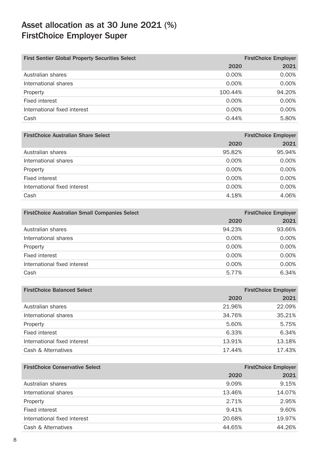| <b>First Sentier Global Property Securities Select</b> |          | <b>FirstChoice Employer</b> |
|--------------------------------------------------------|----------|-----------------------------|
|                                                        | 2020     | 2021                        |
| Australian shares                                      | $0.00\%$ | 0.00%                       |
| International shares                                   | $0.00\%$ | 0.00%                       |
| Property                                               | 100.44%  | 94.20%                      |
| Fixed interest                                         | $0.00\%$ | 0.00%                       |
| International fixed interest                           | 0.00%    | 0.00%                       |
| Cash                                                   | $-0.44%$ | 5.80%                       |

| <b>FirstChoice Australian Share Select</b> |          | <b>FirstChoice Employer</b> |
|--------------------------------------------|----------|-----------------------------|
|                                            | 2020     | 2021                        |
| Australian shares                          | 95.82%   | 95.94%                      |
| International shares                       | 0.00%    | 0.00%                       |
| Property                                   | $0.00\%$ | 0.00%                       |
| Fixed interest                             | $0.00\%$ | 0.00%                       |
| International fixed interest               | 0.00%    | 0.00%                       |
| Cash                                       | 4.18%    | 4.06%                       |
|                                            |          |                             |

| <b>FirstChoice Australian Small Companies Select</b> |          | <b>FirstChoice Employer</b> |
|------------------------------------------------------|----------|-----------------------------|
|                                                      | 2020     | 2021                        |
| Australian shares                                    | 94.23%   | 93.66%                      |
| International shares                                 | $0.00\%$ | 0.00%                       |
| Property                                             | 0.00%    | 0.00%                       |
| Fixed interest                                       | 0.00%    | 0.00%                       |
| International fixed interest                         | $0.00\%$ | 0.00%                       |
| Cash                                                 | 5.77%    | 6.34%                       |

| <b>FirstChoice Balanced Select</b> |        | <b>FirstChoice Employer</b> |
|------------------------------------|--------|-----------------------------|
|                                    | 2020   | 2021                        |
| Australian shares                  | 21.96% | 22.09%                      |
| International shares               | 34.76% | 35.21%                      |
| Property                           | 5.60%  | 5.75%                       |
| Fixed interest                     | 6.33%  | 6.34%                       |
| International fixed interest       | 13.91% | 13.18%                      |
| Cash & Alternatives                | 17.44% | 17.43%                      |

| <b>FirstChoice Conservative Select</b> |        | <b>FirstChoice Employer</b> |
|----------------------------------------|--------|-----------------------------|
|                                        | 2020   | 2021                        |
| Australian shares                      | 9.09%  | 9.15%                       |
| International shares                   | 13.46% | 14.07%                      |
| Property                               | 2.71%  | 2.95%                       |
| Fixed interest                         | 9.41%  | 9.60%                       |
| International fixed interest           | 20.68% | 19.97%                      |
| Cash & Alternatives                    | 44.65% | 44.26%                      |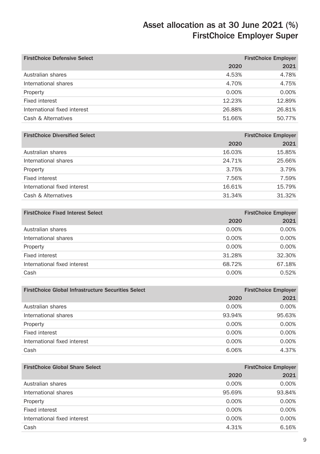| <b>FirstChoice Defensive Select</b> |          | <b>FirstChoice Employer</b> |
|-------------------------------------|----------|-----------------------------|
|                                     | 2020     | 2021                        |
| Australian shares                   | 4.53%    | 4.78%                       |
| International shares                | 4.70%    | 4.75%                       |
| Property                            | $0.00\%$ | $0.00\%$                    |
| Fixed interest                      | 12.23%   | 12.89%                      |
| International fixed interest        | 26.88%   | 26.81%                      |
| Cash & Alternatives                 | 51.66%   | 50.77%                      |

| <b>FirstChoice Diversified Select</b> |        | <b>FirstChoice Employer</b> |
|---------------------------------------|--------|-----------------------------|
|                                       | 2020   | 2021                        |
| Australian shares                     | 16.03% | 15.85%                      |
| International shares                  | 24.71% | 25.66%                      |
| Property                              | 3.75%  | 3.79%                       |
| Fixed interest                        | 7.56%  | 7.59%                       |
| International fixed interest          | 16.61% | 15.79%                      |
| Cash & Alternatives                   | 31.34% | 31.32%                      |

| <b>FirstChoice Fixed Interest Select</b> | <b>FirstChoice Employer</b> |
|------------------------------------------|-----------------------------|
| 2020                                     | 2021                        |
| Australian shares<br>0.00%               | 0.00%                       |
| International shares<br>0.00%            | 0.00%                       |
| 0.00%<br>Property                        | 0.00%                       |
| Fixed interest<br>31.28%                 | 32.30%                      |
| International fixed interest<br>68.72%   | 67.18%                      |
| Cash<br>0.00%                            | 0.52%                       |

| <b>FirstChoice Global Infrastructure Securities Select</b> |          | <b>FirstChoice Employer</b> |
|------------------------------------------------------------|----------|-----------------------------|
|                                                            | 2020     | 2021                        |
| Australian shares                                          | 0.00%    | 0.00%                       |
| International shares                                       | 93.94%   | 95.63%                      |
| Property                                                   | $0.00\%$ | 0.00%                       |
| Fixed interest                                             | $0.00\%$ | 0.00%                       |
| International fixed interest                               | 0.00%    | 0.00%                       |
| Cash                                                       | 6.06%    | 4.37%                       |

| <b>FirstChoice Global Share Select</b> |          | <b>FirstChoice Employer</b> |
|----------------------------------------|----------|-----------------------------|
|                                        | 2020     | 2021                        |
| Australian shares                      | 0.00%    | 0.00%                       |
| International shares                   | 95.69%   | 93.84%                      |
| Property                               | $0.00\%$ | $0.00\%$                    |
| Fixed interest                         | $0.00\%$ | 0.00%                       |
| International fixed interest           | 0.00%    | 0.00%                       |
| Cash                                   | 4.31%    | 6.16%                       |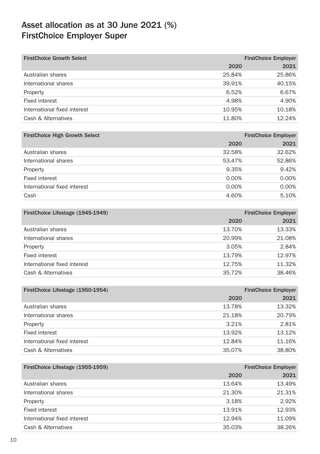| <b>FirstChoice Growth Select</b> |        | <b>FirstChoice Employer</b> |
|----------------------------------|--------|-----------------------------|
|                                  | 2020   | 2021                        |
| Australian shares                | 25.84% | 25.86%                      |
| International shares             | 39.91% | 40.15%                      |
| Property                         | 6.52%  | 6.67%                       |
| Fixed interest                   | 4.98%  | 4.90%                       |
| International fixed interest     | 10.95% | 10.18%                      |
| Cash & Alternatives              | 11.80% | 12.24%                      |

| <b>FirstChoice Employer</b> |
|-----------------------------|
| 2021                        |
| 32.62%                      |
| 52.86%                      |
| 9.42%                       |
| 0.00%                       |
| 0.00%                       |
| 5.10%                       |
|                             |

| FirstChoice Lifestage (1945-1949) |        | <b>FirstChoice Employer</b> |
|-----------------------------------|--------|-----------------------------|
|                                   | 2020   | 2021                        |
| Australian shares                 | 13.70% | 13.33%                      |
| International shares              | 20.99% | 21.08%                      |
| Property                          | 3.05%  | 2.84%                       |
| Fixed interest                    | 13.79% | 12.97%                      |
| International fixed interest      | 12.75% | 11.32%                      |
| Cash & Alternatives               | 35.72% | 38.46%                      |

| FirstChoice Lifestage (1950-1954) |        | <b>FirstChoice Employer</b> |
|-----------------------------------|--------|-----------------------------|
|                                   | 2020   | 2021                        |
| Australian shares                 | 13.78% | 13.32%                      |
| International shares              | 21.18% | 20.79%                      |
| Property                          | 3.21%  | 2.81%                       |
| Fixed interest                    | 13.92% | 13.12%                      |
| International fixed interest      | 12.84% | 11.16%                      |
| Cash & Alternatives               | 35.07% | 38.80%                      |

| FirstChoice Lifestage (1955-1959) |        | <b>FirstChoice Employer</b> |
|-----------------------------------|--------|-----------------------------|
|                                   | 2020   | 2021                        |
| Australian shares                 | 13.64% | 13.49%                      |
| International shares              | 21.30% | 21.31%                      |
| Property                          | 3.18%  | 2.92%                       |
| Fixed interest                    | 13.91% | 12.93%                      |
| International fixed interest      | 12.94% | 11.09%                      |
| Cash & Alternatives               | 35.03% | 38.26%                      |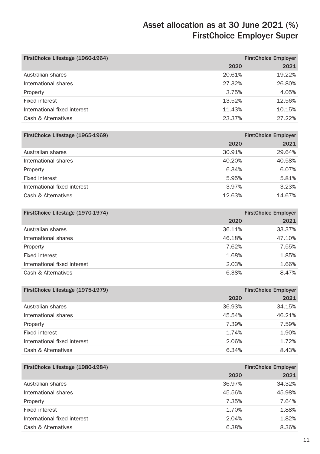| FirstChoice Lifestage (1960-1964) |        | <b>FirstChoice Employer</b> |
|-----------------------------------|--------|-----------------------------|
|                                   | 2020   | 2021                        |
| Australian shares                 | 20.61% | 19.22%                      |
| International shares              | 27.32% | 26.80%                      |
| Property                          | 3.75%  | 4.05%                       |
| Fixed interest                    | 13.52% | 12.56%                      |
| International fixed interest      | 11.43% | 10.15%                      |
| Cash & Alternatives               | 23.37% | 27.22%                      |

| FirstChoice Lifestage (1965-1969) |        | <b>FirstChoice Employer</b> |
|-----------------------------------|--------|-----------------------------|
|                                   | 2020   | 2021                        |
| Australian shares                 | 30.91% | 29.64%                      |
| International shares              | 40.20% | 40.58%                      |
| Property                          | 6.34%  | 6.07%                       |
| Fixed interest                    | 5.95%  | 5.81%                       |
| International fixed interest      | 3.97%  | 3.23%                       |
| Cash & Alternatives               | 12.63% | 14.67%                      |

| FirstChoice Lifestage (1970-1974) |        | <b>FirstChoice Employer</b> |
|-----------------------------------|--------|-----------------------------|
|                                   | 2020   | 2021                        |
| Australian shares                 | 36.11% | 33.37%                      |
| International shares              | 46.18% | 47.10%                      |
| Property                          | 7.62%  | 7.55%                       |
| Fixed interest                    | 1.68%  | 1.85%                       |
| International fixed interest      | 2.03%  | 1.66%                       |
| Cash & Alternatives               | 6.38%  | 8.47%                       |

| FirstChoice Lifestage (1975-1979) |        | <b>FirstChoice Employer</b> |
|-----------------------------------|--------|-----------------------------|
|                                   | 2020   | 2021                        |
| Australian shares                 | 36.93% | 34.15%                      |
| International shares              | 45.54% | 46.21%                      |
| Property                          | 7.39%  | 7.59%                       |
| Fixed interest                    | 1.74%  | 1.90%                       |
| International fixed interest      | 2.06%  | 1.72%                       |
| Cash & Alternatives               | 6.34%  | 8.43%                       |

| FirstChoice Lifestage (1980-1984) |        | <b>FirstChoice Employer</b> |
|-----------------------------------|--------|-----------------------------|
|                                   | 2020   | 2021                        |
| Australian shares                 | 36.97% | 34.32%                      |
| International shares              | 45.56% | 45.98%                      |
| Property                          | 7.35%  | 7.64%                       |
| Fixed interest                    | 1.70%  | 1.88%                       |
| International fixed interest      | 2.04%  | 1.82%                       |
| Cash & Alternatives               | 6.38%  | 8.36%                       |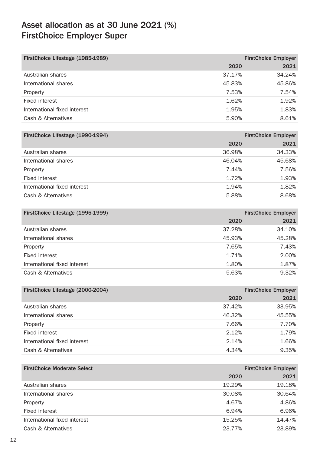| FirstChoice Lifestage (1985-1989) |        | <b>FirstChoice Employer</b> |
|-----------------------------------|--------|-----------------------------|
|                                   | 2020   | 2021                        |
| Australian shares                 | 37.17% | 34.24%                      |
| International shares              | 45.83% | 45.86%                      |
| Property                          | 7.53%  | 7.54%                       |
| Fixed interest                    | 1.62%  | 1.92%                       |
| International fixed interest      | 1.95%  | 1.83%                       |
| Cash & Alternatives               | 5.90%  | 8.61%                       |

| <b>FirstChoice Employer</b> |
|-----------------------------|
| 2021<br>2020                |
| 34.33%<br>36.98%            |
| 45.68%<br>46.04%            |
| 7.56%<br>7.44%              |
| 1.93%<br>1.72%              |
| 1.82%<br>1.94%              |
| 8.68%<br>5.88%              |
|                             |

| FirstChoice Lifestage (1995-1999) |        | <b>FirstChoice Employer</b> |
|-----------------------------------|--------|-----------------------------|
|                                   | 2020   | 2021                        |
| Australian shares                 | 37.28% | 34.10%                      |
| International shares              | 45.93% | 45.28%                      |
| Property                          | 7.65%  | 7.43%                       |
| Fixed interest                    | 1.71%  | 2.00%                       |
| International fixed interest      | 1.80%  | 1.87%                       |
| Cash & Alternatives               | 5.63%  | 9.32%                       |

| FirstChoice Lifestage (2000-2004) |        | <b>FirstChoice Employer</b> |
|-----------------------------------|--------|-----------------------------|
|                                   | 2020   | 2021                        |
| Australian shares                 | 37.42% | 33.95%                      |
| International shares              | 46.32% | 45.55%                      |
| Property                          | 7.66%  | 7.70%                       |
| Fixed interest                    | 2.12%  | 1.79%                       |
| International fixed interest      | 2.14%  | 1.66%                       |
| Cash & Alternatives               | 4.34%  | 9.35%                       |

| <b>FirstChoice Moderate Select</b> |        | <b>FirstChoice Employer</b> |
|------------------------------------|--------|-----------------------------|
|                                    | 2020   | 2021                        |
| Australian shares                  | 19.29% | 19.18%                      |
| International shares               | 30.08% | 30.64%                      |
| Property                           | 4.67%  | 4.86%                       |
| Fixed interest                     | 6.94%  | 6.96%                       |
| International fixed interest       | 15.25% | 14.47%                      |
| Cash & Alternatives                | 23.77% | 23.89%                      |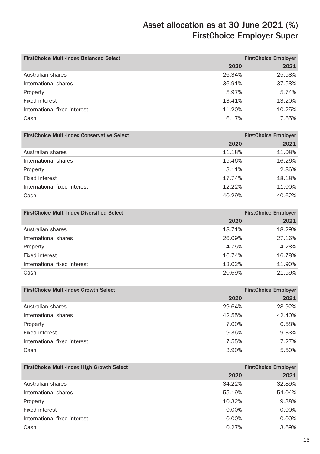| <b>FirstChoice Multi-Index Balanced Select</b> |        | <b>FirstChoice Employer</b> |
|------------------------------------------------|--------|-----------------------------|
|                                                | 2020   | 2021                        |
| Australian shares                              | 26.34% | 25.58%                      |
| International shares                           | 36.91% | 37.58%                      |
| Property                                       | 5.97%  | 5.74%                       |
| Fixed interest                                 | 13.41% | 13.20%                      |
| International fixed interest                   | 11.20% | 10.25%                      |
| Cash                                           | 6.17%  | 7.65%                       |

| <b>FirstChoice Employer</b> |
|-----------------------------|
| 2021                        |
| 11.08%                      |
| 16.26%                      |
| 2.86%                       |
| 18.18%                      |
| 11.00%                      |
| 40.62%                      |
|                             |

| <b>FirstChoice Multi-Index Diversified Select</b> |        | <b>FirstChoice Employer</b> |
|---------------------------------------------------|--------|-----------------------------|
|                                                   | 2020   | 2021                        |
| Australian shares                                 | 18.71% | 18.29%                      |
| International shares                              | 26.09% | 27.16%                      |
| Property                                          | 4.75%  | 4.28%                       |
| Fixed interest                                    | 16.74% | 16.78%                      |
| International fixed interest                      | 13.02% | 11.90%                      |
| Cash                                              | 20.69% | 21.59%                      |
|                                                   |        |                             |

| <b>FirstChoice Multi-Index Growth Select</b> |        | <b>FirstChoice Employer</b> |
|----------------------------------------------|--------|-----------------------------|
|                                              | 2020   | 2021                        |
| Australian shares                            | 29.64% | 28.92%                      |
| International shares                         | 42.55% | 42.40%                      |
| Property                                     | 7.00%  | 6.58%                       |
| Fixed interest                               | 9.36%  | 9.33%                       |
| International fixed interest                 | 7.55%  | 7.27%                       |
| Cash                                         | 3.90%  | 5.50%                       |

| FirstChoice Multi-Index High Growth Select |        | <b>FirstChoice Employer</b> |
|--------------------------------------------|--------|-----------------------------|
|                                            | 2020   | 2021                        |
| Australian shares                          | 34.22% | 32.89%                      |
| International shares                       | 55.19% | 54.04%                      |
| Property                                   | 10.32% | 9.38%                       |
| Fixed interest                             | 0.00%  | 0.00%                       |
| International fixed interest               | 0.00%  | 0.00%                       |
| Cash                                       | 0.27%  | 3.69%                       |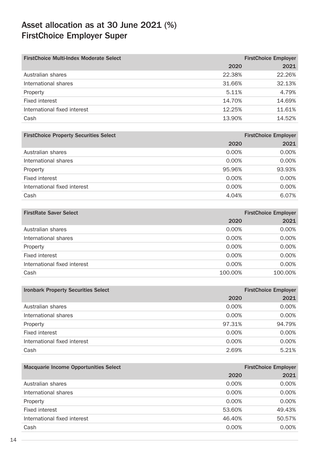| <b>FirstChoice Multi-Index Moderate Select</b> |        | <b>FirstChoice Employer</b> |
|------------------------------------------------|--------|-----------------------------|
|                                                | 2020   | 2021                        |
| Australian shares                              | 22.38% | 22.26%                      |
| International shares                           | 31.66% | 32.13%                      |
| Property                                       | 5.11%  | 4.79%                       |
| Fixed interest                                 | 14.70% | 14.69%                      |
| International fixed interest                   | 12.25% | 11.61%                      |
| Cash                                           | 13.90% | 14.52%                      |

| <b>FirstChoice Employer</b> |
|-----------------------------|
| 2021<br>2020                |
| 0.00%<br>$0.00\%$           |
| 0.00%<br>0.00%              |
| 93.93%<br>95.96%            |
| 0.00%<br>$0.00\%$           |
| 0.00%<br>0.00%              |
| 6.07%<br>4.04%              |
|                             |

| <b>FirstRate Saver Select</b> |          | <b>FirstChoice Employer</b> |
|-------------------------------|----------|-----------------------------|
|                               | 2020     | 2021                        |
| Australian shares             | 0.00%    | 0.00%                       |
| International shares          | 0.00%    | 0.00%                       |
| Property                      | 0.00%    | 0.00%                       |
| Fixed interest                | 0.00%    | 0.00%                       |
| International fixed interest  | $0.00\%$ | 0.00%                       |
| Cash                          | 100.00%  | 100.00%                     |

| <b>Ironbark Property Securities Select</b> |        | <b>FirstChoice Employer</b> |
|--------------------------------------------|--------|-----------------------------|
|                                            | 2020   | 2021                        |
| Australian shares                          | 0.00%  | 0.00%                       |
| International shares                       | 0.00%  | 0.00%                       |
| Property                                   | 97.31% | 94.79%                      |
| Fixed interest                             | 0.00%  | 0.00%                       |
| International fixed interest               | 0.00%  | 0.00%                       |
| Cash                                       | 2.69%  | 5.21%                       |

| Macquarie Income Opportunities Select |        | <b>FirstChoice Employer</b> |
|---------------------------------------|--------|-----------------------------|
|                                       | 2020   | 2021                        |
| Australian shares                     | 0.00%  | 0.00%                       |
| International shares                  | 0.00%  | 0.00%                       |
| Property                              | 0.00%  | 0.00%                       |
| Fixed interest                        | 53.60% | 49.43%                      |
| International fixed interest          | 46.40% | 50.57%                      |
| Cash                                  | 0.00%  | 0.00%                       |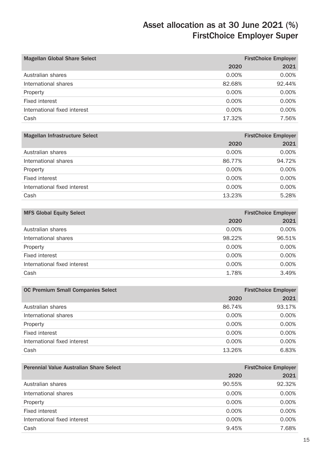| <b>Magellan Global Share Select</b> |        | <b>FirstChoice Employer</b> |
|-------------------------------------|--------|-----------------------------|
|                                     | 2020   | 2021                        |
| Australian shares                   | 0.00%  | 0.00%                       |
| International shares                | 82.68% | 92.44%                      |
| Property                            | 0.00%  | 0.00%                       |
| Fixed interest                      | 0.00%  | 0.00%                       |
| International fixed interest        | 0.00%  | 0.00%                       |
| Cash                                | 17.32% | 7.56%                       |
|                                     |        |                             |

| Magellan Infrastructure Select |          | <b>FirstChoice Employer</b> |
|--------------------------------|----------|-----------------------------|
|                                | 2020     | 2021                        |
| Australian shares              | 0.00%    | 0.00%                       |
| International shares           | 86.77%   | 94.72%                      |
| Property                       | $0.00\%$ | 0.00%                       |
| Fixed interest                 | 0.00%    | 0.00%                       |
| International fixed interest   | $0.00\%$ | 0.00%                       |
| Cash                           | 13.23%   | 5.28%                       |
|                                |          |                             |

| <b>MFS Global Equity Select</b> |          | <b>FirstChoice Employer</b> |
|---------------------------------|----------|-----------------------------|
|                                 | 2020     | 2021                        |
| Australian shares               | 0.00%    | 0.00%                       |
| International shares            | 98.22%   | 96.51%                      |
| Property                        | 0.00%    | 0.00%                       |
| Fixed interest                  | 0.00%    | 0.00%                       |
| International fixed interest    | $0.00\%$ | 0.00%                       |
| Cash                            | 1.78%    | 3.49%                       |

| <b>OC Premium Small Companies Select</b> |        | <b>FirstChoice Employer</b> |
|------------------------------------------|--------|-----------------------------|
|                                          | 2020   | 2021                        |
| Australian shares                        | 86.74% | 93.17%                      |
| International shares                     | 0.00%  | 0.00%                       |
| Property                                 | 0.00%  | 0.00%                       |
| Fixed interest                           | 0.00%  | 0.00%                       |
| International fixed interest             | 0.00%  | 0.00%                       |
| Cash                                     | 13.26% | 6.83%                       |

| <b>Perennial Value Australian Share Select</b> |          | <b>FirstChoice Employer</b> |
|------------------------------------------------|----------|-----------------------------|
|                                                | 2020     | 2021                        |
| Australian shares                              | 90.55%   | 92.32%                      |
| International shares                           | 0.00%    | 0.00%                       |
| Property                                       | 0.00%    | 0.00%                       |
| Fixed interest                                 | $0.00\%$ | 0.00%                       |
| International fixed interest                   | 0.00%    | 0.00%                       |
| Cash                                           | 9.45%    | 7.68%                       |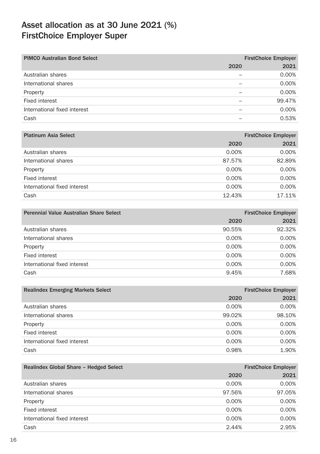| <b>PIMCO Australian Bond Select</b> |      | <b>FirstChoice Employer</b> |
|-------------------------------------|------|-----------------------------|
|                                     | 2020 | 2021                        |
| Australian shares                   |      | 0.00%                       |
| International shares                |      | 0.00%                       |
| Property                            |      | 0.00%                       |
| Fixed interest                      |      | 99.47%                      |
| International fixed interest        |      | 0.00%                       |
| Cash                                |      | 0.53%                       |

| <b>Platinum Asia Select</b>           | <b>FirstChoice Employer</b> |
|---------------------------------------|-----------------------------|
| 2020                                  | 2021                        |
| Australian shares<br>$0.00\%$         | 0.00%                       |
| International shares<br>87.57%        | 82.89%                      |
| $0.00\%$<br>Property                  | $0.00\%$                    |
| Fixed interest<br>$0.00\%$            | 0.00%                       |
| International fixed interest<br>0.00% | 0.00%                       |
| Cash<br>12.43%                        | 17.11%                      |

| <b>Perennial Value Australian Share Select</b> |          | <b>FirstChoice Employer</b> |
|------------------------------------------------|----------|-----------------------------|
|                                                | 2020     | 2021                        |
| Australian shares                              | 90.55%   | 92.32%                      |
| International shares                           | $0.00\%$ | 0.00%                       |
| Property                                       | 0.00%    | 0.00%                       |
| Fixed interest                                 | $0.00\%$ | 0.00%                       |
| International fixed interest                   | $0.00\%$ | 0.00%                       |
| Cash                                           | 9.45%    | 7.68%                       |

| <b>Realindex Emerging Markets Select</b> | <b>FirstChoice Employer</b> |        |
|------------------------------------------|-----------------------------|--------|
|                                          | 2020                        | 2021   |
| Australian shares                        | 0.00%                       | 0.00%  |
| International shares                     | 99.02%                      | 98.10% |
| Property                                 | 0.00%                       | 0.00%  |
| Fixed interest                           | 0.00%                       | 0.00%  |
| International fixed interest             | 0.00%                       | 0.00%  |
| Cash                                     | 0.98%                       | 1.90%  |

| Realindex Global Share - Hedged Select |          | <b>FirstChoice Employer</b> |
|----------------------------------------|----------|-----------------------------|
|                                        | 2020     | 2021                        |
| Australian shares                      | 0.00%    | 0.00%                       |
| International shares                   | 97.56%   | 97.05%                      |
| Property                               | $0.00\%$ | 0.00%                       |
| Fixed interest                         | $0.00\%$ | 0.00%                       |
| International fixed interest           | 0.00%    | 0.00%                       |
| Cash                                   | 2.44%    | 2.95%                       |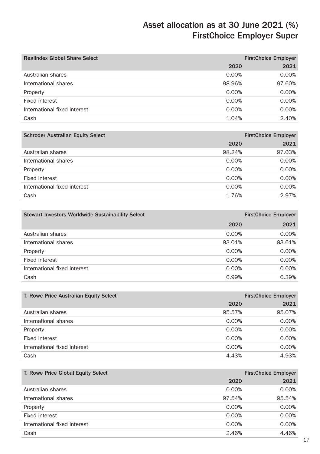| <b>Realindex Global Share Select</b> | <b>FirstChoice Employer</b> |        |
|--------------------------------------|-----------------------------|--------|
|                                      | 2020                        | 2021   |
| Australian shares                    | $0.00\%$                    | 0.00%  |
| International shares                 | 98.96%                      | 97.60% |
| Property                             | 0.00%                       | 0.00%  |
| Fixed interest                       | $0.00\%$                    | 0.00%  |
| International fixed interest         | 0.00%                       | 0.00%  |
| Cash                                 | 1.04%                       | 2.40%  |

| <b>Schroder Australian Equity Select</b> | <b>FirstChoice Employer</b> |        |  |  |
|------------------------------------------|-----------------------------|--------|--|--|
|                                          | 2020                        | 2021   |  |  |
| Australian shares                        | 98.24%                      | 97.03% |  |  |
| International shares                     | 0.00%                       | 0.00%  |  |  |
| Property                                 | $0.00\%$                    | 0.00%  |  |  |
| Fixed interest                           | 0.00%                       | 0.00%  |  |  |
| International fixed interest             | 0.00%                       | 0.00%  |  |  |
| Cash                                     | 1.76%                       | 2.97%  |  |  |
|                                          |                             |        |  |  |

| <b>Stewart Investors Worldwide Sustainability Select</b> | <b>FirstChoice Employer</b> |        |  |
|----------------------------------------------------------|-----------------------------|--------|--|
|                                                          | 2020                        | 2021   |  |
| Australian shares                                        | 0.00%                       | 0.00%  |  |
| International shares                                     | 93.01%                      | 93.61% |  |
| Property                                                 | 0.00%                       | 0.00%  |  |
| Fixed interest                                           | 0.00%                       | 0.00%  |  |
| International fixed interest                             | 0.00%                       | 0.00%  |  |
| Cash                                                     | 6.99%                       | 6.39%  |  |

| T. Rowe Price Australian Equity Select |          | <b>FirstChoice Employer</b> |  |  |
|----------------------------------------|----------|-----------------------------|--|--|
|                                        | 2020     | 2021                        |  |  |
| Australian shares                      | 95.57%   | 95.07%                      |  |  |
| International shares                   | $0.00\%$ | 0.00%                       |  |  |
| Property                               | 0.00%    | 0.00%                       |  |  |
| Fixed interest                         | $0.00\%$ | 0.00%                       |  |  |
| International fixed interest           | 0.00%    | 0.00%                       |  |  |
| Cash                                   | 4.43%    | 4.93%                       |  |  |

| T. Rowe Price Global Equity Select | <b>FirstChoice Employer</b> |        |  |  |
|------------------------------------|-----------------------------|--------|--|--|
|                                    | 2020                        | 2021   |  |  |
| Australian shares                  | 0.00%                       | 0.00%  |  |  |
| International shares               | 97.54%                      | 95.54% |  |  |
| Property                           | $0.00\%$                    | 0.00%  |  |  |
| Fixed interest                     | $0.00\%$                    | 0.00%  |  |  |
| International fixed interest       | 0.00%                       | 0.00%  |  |  |
| Cash                               | 2.46%                       | 4.46%  |  |  |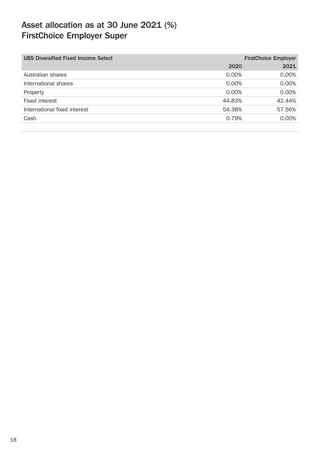| <b>UBS Diversified Fixed Income Select</b><br><b>FirstChoice Employer</b> |        |  |  |
|---------------------------------------------------------------------------|--------|--|--|
| 2020                                                                      | 2021   |  |  |
| 0.00%                                                                     | 0.00%  |  |  |
| 0.00%                                                                     | 0.00%  |  |  |
| 0.00%                                                                     | 0.00%  |  |  |
| 44.83%                                                                    | 42.44% |  |  |
| 54.38%                                                                    | 57.56% |  |  |
| 0.79%                                                                     | 0.00%  |  |  |
|                                                                           |        |  |  |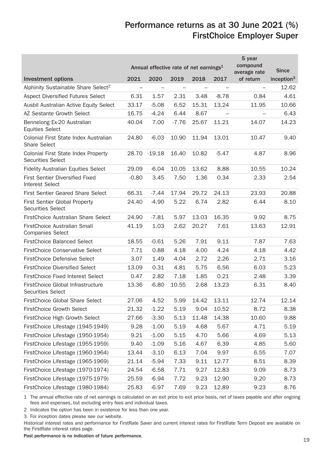## Performance returns as at 30 June 2021 (%) FirstChoice Employer Super

|                                                                  | Annual effective rate of net earnings <sup>1</sup> |          |         |       | 5 year<br>compound<br>average rate | <b>Since</b> |               |
|------------------------------------------------------------------|----------------------------------------------------|----------|---------|-------|------------------------------------|--------------|---------------|
| <b>Investment options</b>                                        | 2021                                               | 2020     | 2019    | 2018  | 2017                               | of return    | inception $3$ |
| Alphinity Sustainable Share Select <sup>2</sup>                  | L.                                                 |          |         |       |                                    |              | 12.62         |
| Aspect Diversified Futures Select                                | 6.31                                               | 1.57     | 2.31    | 3.48  | $-8.78$                            | 0.84         | 4.61          |
| Ausbil Australian Active Equity Select                           | 33.17                                              | $-5.08$  | 6.52    | 15.31 | 13.24                              | 11.95        | 10.66         |
| AZ Sestante Growth Select                                        | 16.75                                              | $-4.24$  | 6.44    | 8.67  |                                    |              | 6.43          |
| Bennelong Ex-20 Australian<br><b>Equities Select</b>             | 40.04                                              | 7.00     | $-7.76$ | 25.67 | 11.21                              | 14.07        | 14.23         |
| Colonial First State Index Australian<br><b>Share Select</b>     | 24.80                                              | $-6.03$  | 10.90   | 11.94 | 13.01                              | 10.47        | 9.40          |
| Colonial First State Index Property<br><b>Securities Select</b>  | 28.70                                              | $-19.18$ | 16.40   | 10.82 | $-5.47$                            | 4.87         | 8.96          |
| <b>Fidelity Australian Equities Select</b>                       | 29.09                                              | $-6.04$  | 10.05   | 13.62 | 8.88                               | 10.55        | 10.24         |
| First Sentier Diversified Fixed<br><b>Interest Select</b>        | $-0.80$                                            | 3.45     | 7.50    | 1.36  | 0.34                               | 2.33         | 2.54          |
| First Sentier Geared Share Select                                | 66.31                                              | $-7.44$  | 17.94   | 29.72 | 24.13                              | 23.93        | 20.88         |
| <b>First Sentier Global Property</b><br><b>Securities Select</b> | 24.40                                              | $-4.90$  | 5.22    | 6.74  | 2.82                               | 6.44         | 8.10          |
| FirstChoice Australian Share Select                              | 24.90                                              | $-7.81$  | 5.97    | 13.03 | 16.35                              | 9.92         | 8.75          |
| FirstChoice Australian Small<br><b>Companies Select</b>          | 41.19                                              | 1.03     | 2.62    | 20.27 | 7.61                               | 13.63        | 12.91         |
| <b>FirstChoice Balanced Select</b>                               | 18.55                                              | $-0.61$  | 5.26    | 7.91  | 9.11                               | 7.87         | 7.63          |
| <b>FirstChoice Conservative Select</b>                           | 7.71                                               | 0.88     | 4.18    | 4.00  | 4.24                               | 4.18         | 4.42          |
| <b>FirstChoice Defensive Select</b>                              | 3.07                                               | 1.49     | 4.04    | 2.72  | 2.26                               | 2.71         | 3.16          |
| <b>FirstChoice Diversified Select</b>                            | 13.09                                              | 0.31     | 4.81    | 5.75  | 6.56                               | 6.03         | 5.23          |
| <b>FirstChoice Fixed Interest Select</b>                         | 0.47                                               | 2.82     | 7.18    | 1.85  | 0.21                               | 2.48         | 3.39          |
| FirstChoice Global Infrastructure<br><b>Securities Select</b>    | 13.36                                              | $-6.80$  | 10.55   | 2.68  | 13.23                              | 6.31         | 8.40          |
| <b>FirstChoice Global Share Select</b>                           | 27.06                                              | 4.52     | 5.99    | 14.42 | 13.11                              | 12.74        | 12.14         |
| <b>FirstChoice Growth Select</b>                                 | 21.32                                              | $-1.22$  | 5.19    | 9.04  | 10.52                              | 8.72         | 8.38          |
| FirstChoice High Growth Select                                   | 27.66                                              | $-3.30$  | 5.13    | 11.48 | 14.38                              | 10.60        | 9.88          |
| FirstChoice Lifestage (1945-1949)                                | 9.28                                               | $-1.00$  | 5.19    | 4.68  | 5.67                               | 4.71         | 5.19          |
| FirstChoice Lifestage (1950-1954)                                | 9.21                                               | $-1.00$  | 5.15    | 4.70  | 5.66                               | 4.69         | 5.13          |
| FirstChoice Lifestage (1955-1959)                                | 9.40                                               | $-1.09$  | 5.16    | 4.67  | 6.39                               | 4.85         | 5.60          |
| FirstChoice Lifestage (1960-1964)                                | 13.44                                              | $-3.10$  | 6.13    | 7.04  | 9.97                               | 6.55         | 7.07          |
| FirstChoice Lifestage (1965-1969)                                | 21.14                                              | $-5.94$  | 7.33    | 9.11  | 12.77                              | 8.51         | 8.39          |
| FirstChoice Lifestage (1970-1974)                                | 24.54                                              | $-6.58$  | 7.71    | 9.27  | 12.83                              | 9.09         | 8.73          |
| FirstChoice Lifestage (1975-1979)                                | 25.59                                              | $-6.94$  | 7.72    | 9.23  | 12.90                              | 9.20         | 8.73          |
| FirstChoice Lifestage (1980-1984)                                | 25.83                                              | $-6.97$  | 7.69    | 9.23  | 12.89                              | 9.23         | 8.76          |

1 The annual effective rate of net earnings is calculated on an exit price to exit price basis, net of taxes payable and after ongoing fees and expenses, but excluding entry fees and individual taxes.

2 Indicates the option has been in existence for less than one year.

3 For inception dates please see our website.

Historical interest rates and performance for FirstRate Saver and current interest rates for FirstRate Term Deposit are available on the FirstRate interest rates page.

Past performance is no indication of future performance.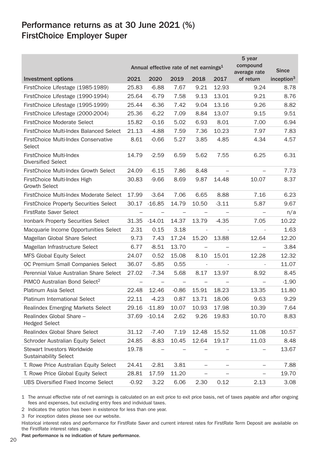## Performance returns as at 30 June 2021 (%) FirstChoice Employer Super

|                                                             | Annual effective rate of net earnings <sup>1</sup> |                          |                   |                          | 5 year<br>compound<br>average rate | <b>Since</b>             |                        |
|-------------------------------------------------------------|----------------------------------------------------|--------------------------|-------------------|--------------------------|------------------------------------|--------------------------|------------------------|
| <b>Investment options</b>                                   | 2021                                               | 2020                     | 2019              | 2018                     | 2017                               | of return                | inception <sup>3</sup> |
| FirstChoice Lifestage (1985-1989)                           | 25.83                                              | $-6.88$                  | 7.67              | 9.21                     | 12.93                              | 9.24                     | 8.78                   |
| FirstChoice Lifestage (1990-1994)                           | 25.64                                              | $-6.79$                  | 7.58              | 9.13                     | 13.01                              | 9.21                     | 8.76                   |
| FirstChoice Lifestage (1995-1999)                           | 25.44                                              | $-6.36$                  | 7.42              | 9.04                     | 13.16                              | 9.26                     | 8.82                   |
| FirstChoice Lifestage (2000-2004)                           | 25.36                                              | $-6.22$                  | 7.09              | 8.84                     | 13.07                              | 9.15                     | 9.51                   |
| <b>FirstChoice Moderate Select</b>                          | 15.82                                              | $-0.16$                  | 5.02              | 6.93                     | 8.01                               | 7.00                     | 6.94                   |
| FirstChoice Multi-Index Balanced Select                     | 21.13                                              | $-4.88$                  | 7.59              | 7.36                     | 10.23                              | 7.97                     | 7.83                   |
| FirstChoice Multi-Index Conservative<br>Select              | 8.61                                               | $-0.66$                  | 5.27              | 3.85                     | 4.85                               | 4.34                     | 4.57                   |
| FirstChoice Multi-Index<br><b>Diversified Select</b>        | 14.79                                              | $-2.59$                  | 6.59              | 5.62                     | 7.55                               | 6.25                     | 6.31                   |
| FirstChoice Multi-Index Growth Select                       | 24.09                                              | $-6.15$                  | 7.86              | 8.48                     |                                    |                          | 7.73                   |
| FirstChoice Multi-Index High<br><b>Growth Select</b>        | 30.83                                              | $-9.66$                  | 8.69              | 9.87                     | 14.48                              | 10.07                    | 8.37                   |
| FirstChoice Multi-Index Moderate Select                     | 17.99                                              | $-3.64$                  | 7.06              | 6.65                     | 8.88                               | 7.16                     | 6.23                   |
| <b>FirstChoice Property Securities Select</b>               | 30.17                                              | $-16.85$                 | 14.79             | 10.50                    | $-3.11$                            | 5.87                     | 9.67                   |
| <b>FirstRate Saver Select</b>                               | $\overline{\phantom{0}}$                           | $\overline{\phantom{0}}$ | $\qquad \qquad -$ | $\overline{\phantom{0}}$ |                                    | $\equiv$                 | n/a                    |
| Ironbark Property Securities Select                         | 31.35                                              | $-14.01$                 | 14.37             | 13.79                    | $-4.35$                            | 7.05                     | 10.22                  |
| Macquarie Income Opportunities Select                       | 2.31                                               | 0.15                     | 3.18              | $\bar{z}$                |                                    |                          | 1.63                   |
| Magellan Global Share Select                                | 9.73                                               | 7.43                     | 17.24             | 15.20                    | 13.88                              | 12.64                    | 12.20                  |
| Magellan Infrastructure Select                              | 6.77                                               | $-8.51$                  | 13.70             | $\equiv$                 |                                    |                          | 3.84                   |
| <b>MFS Global Equity Select</b>                             | 24.07                                              | 0.52                     | 15.08             | 8.10                     | 15.01                              | 12.28                    | 12.32                  |
| OC Premium Small Companies Select                           | 36.07                                              | $-5.85$                  | 0.55              | $\overline{\phantom{a}}$ |                                    |                          | 11.07                  |
| Perennial Value Australian Share Select                     | 27.02                                              | $-7.34$                  | 5.68              | 8.17                     | 13.97                              | 8.92                     | 8.45                   |
| PIMCO Australian Bond Select <sup>2</sup>                   | $\qquad \qquad -$                                  |                          | $\qquad \qquad -$ | $\qquad \qquad -$        |                                    | $\qquad \qquad -$        | $-1.90$                |
| <b>Platinum Asia Select</b>                                 | 22.48                                              | 12.46                    | $-0.86$           | 15.91                    | 18.23                              | 13.35                    | 11.80                  |
| <b>Platinum International Select</b>                        | 22.11                                              | $-4.23$                  | 0.87              | 13.71                    | 18.06                              | 9.63                     | 9.29                   |
| Realindex Emerging Markets Select                           | 29.16                                              | $-11.89$                 | 10.07             | 10.93                    | 17.98                              | 10.39                    | 7.64                   |
| Realindex Global Share -<br><b>Hedged Select</b>            | 37.69                                              | $-10.14$                 | 2.62              | 9.26                     | 19.83                              | 10.70                    | 8.83                   |
| Realindex Global Share Select                               | 31.12                                              | $-7.40$                  | 7.19              | 12.48                    | 15.52                              | 11.08                    | 10.57                  |
| Schroder Australian Equity Select                           | 24.85                                              | $-8.83$                  | 10.45             | 12.64                    | 19.17                              | 11.03                    | 8.48                   |
| Stewart Investors Worldwide<br><b>Sustainability Select</b> | 19.78                                              | $\overline{\phantom{0}}$ |                   |                          |                                    |                          | 13.67                  |
| T. Rowe Price Australian Equity Select                      | 24.41                                              | $-2.81$                  | 3.81              | $\equiv$                 | ÷                                  | $\overline{\phantom{0}}$ | 7.88                   |
| T. Rowe Price Global Equity Select                          | 28.81                                              | 17.59                    | 11.20             | L.                       |                                    | $\overline{\phantom{0}}$ | 19.70                  |
| <b>UBS Diversified Fixed Income Select</b>                  | $-0.92$                                            | 3.22                     | 6.06              | 2.30                     | 0.12                               | 2.13                     | 3.08                   |

1 The annual effective rate of net earnings is calculated on an exit price to exit price basis, net of taxes payable and after ongoing fees and expenses, but excluding entry fees and individual taxes.

2 Indicates the option has been in existence for less than one year.

3 For inception dates please see our website.

Historical interest rates and performance for FirstRate Saver and current interest rates for FirstRate Term Deposit are available on the FirstRate interest rates page.

Past performance is no indication of future performance.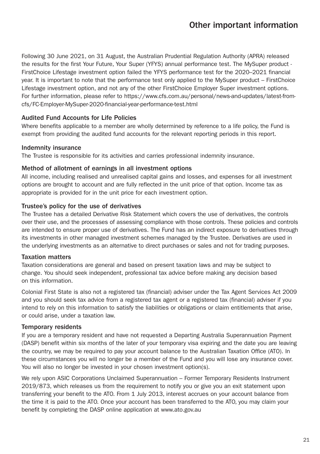Following 30 June 2021, on 31 August, the Australian Prudential Regulation Authority (APRA) released the results for the first Your Future, Your Super (YFYS) annual performance test. The MySuper product - FirstChoice Lifestage investment option failed the YFYS performance test for the 2020–2021 financial year. It is important to note that the performance test only applied to the MySuper product – FirstChoice Lifestage investment option, and not any of the other FirstChoice Employer Super investment options. For further information, please refer to https://www.cfs.com.au/personal/news-and-updates/latest-fromcfs/FC-Employer-MySuper-2020-financial-year-performance-test.html

#### Audited Fund Accounts for Life Policies

Where benefits applicable to a member are wholly determined by reference to a life policy, the Fund is exempt from providing the audited fund accounts for the relevant reporting periods in this report.

#### Indemnity insurance

The Trustee is responsible for its activities and carries professional indemnity insurance.

#### Method of allotment of earnings in all investment options

All income, including realised and unrealised capital gains and losses, and expenses for all investment options are brought to account and are fully reflected in the unit price of that option. Income tax as appropriate is provided for in the unit price for each investment option.

#### Trustee's policy for the use of derivatives

The Trustee has a detailed Derivative Risk Statement which covers the use of derivatives, the controls over their use, and the processes of assessing compliance with those controls. These policies and controls are intended to ensure proper use of derivatives. The Fund has an indirect exposure to derivatives through its investments in other managed investment schemes managed by the Trustee. Derivatives are used in the underlying investments as an alternative to direct purchases or sales and not for trading purposes.

#### Taxation matters

Taxation considerations are general and based on present taxation laws and may be subject to change. You should seek independent, professional tax advice before making any decision based on this information.

Colonial First State is also not a registered tax (financial) adviser under the Tax Agent Services Act 2009 and you should seek tax advice from a registered tax agent or a registered tax (financial) adviser if you intend to rely on this information to satisfy the liabilities or obligations or claim entitlements that arise, or could arise, under a taxation law.

#### Temporary residents

If you are a temporary resident and have not requested a Departing Australia Superannuation Payment (DASP) benefit within six months of the later of your temporary visa expiring and the date you are leaving the country, we may be required to pay your account balance to the Australian Taxation Office (ATO). In these circumstances you will no longer be a member of the Fund and you will lose any insurance cover. You will also no longer be invested in your chosen investment option(s).

We rely upon ASIC Corporations Unclaimed Superannuation – Former Temporary Residents Instrument 2019/873, which releases us from the requirement to notify you or give you an exit statement upon transferring your benefit to the ATO. From 1 July 2013, interest accrues on your account balance from the time it is paid to the ATO. Once your account has been transferred to the ATO, you may claim your benefit by completing the DASP online application at www.ato.gov.au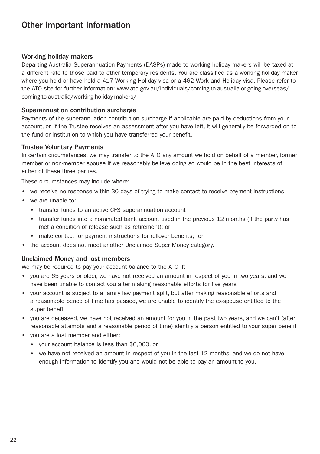## Other important information

#### Working holiday makers

Departing Australia Superannuation Payments (DASPs) made to working holiday makers will be taxed at a different rate to those paid to other temporary residents. You are classified as a working holiday maker where you hold or have held a 417 Working Holiday visa or a 462 Work and Holiday visa. Please refer to the ATO site for further information: www.ato.gov.au/Individuals/coming-to-australia-or-going-overseas/ coming-to-australia/working-holiday-makers/

#### Superannuation contribution surcharge

Payments of the superannuation contribution surcharge if applicable are paid by deductions from your account, or, if the Trustee receives an assessment after you have left, it will generally be forwarded on to the fund or institution to which you have transferred your benefit.

#### Trustee Voluntary Payments

In certain circumstances, we may transfer to the ATO any amount we hold on behalf of a member, former member or non-member spouse if we reasonably believe doing so would be in the best interests of either of these three parties.

These circumstances may include where:

- we receive no response within 30 days of trying to make contact to receive payment instructions
- we are unable to:
	- transfer funds to an active CFS superannuation account
	- transfer funds into a nominated bank account used in the previous 12 months (if the party has met a condition of release such as retirement); or
	- make contact for payment instructions for rollover benefits; or
- the account does not meet another Unclaimed Super Money category.

#### Unclaimed Money and lost members

We may be required to pay your account balance to the ATO if:

- you are 65 years or older, we have not received an amount in respect of you in two years, and we have been unable to contact you after making reasonable efforts for five years
- your account is subject to a family law payment split, but after making reasonable efforts and a reasonable period of time has passed, we are unable to identify the ex-spouse entitled to the super benefit
- you are deceased, we have not received an amount for you in the past two years, and we can't (after reasonable attempts and a reasonable period of time) identify a person entitled to your super benefit
- vou are a lost member and either:
	- your account balance is less than \$6,000, or
	- we have not received an amount in respect of you in the last 12 months, and we do not have enough information to identify you and would not be able to pay an amount to you.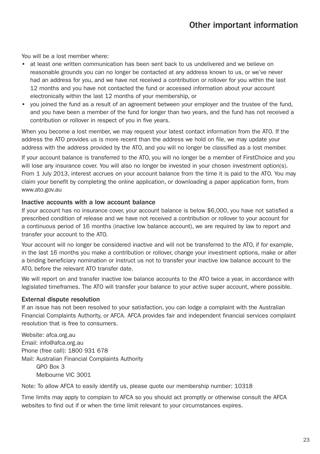## Other important information

You will be a lost member where:

- at least one written communication has been sent back to us undelivered and we believe on reasonable grounds you can no longer be contacted at any address known to us, or we've never had an address for you, and we have not received a contribution or rollover for you within the last 12 months and you have not contacted the fund or accessed information about your account electronically within the last 12 months of your membership, or
- you joined the fund as a result of an agreement between your employer and the trustee of the fund, and you have been a member of the fund for longer than two years, and the fund has not received a contribution or rollover in respect of you in five years.

When you become a lost member, we may request your latest contact information from the ATO. If the address the ATO provides us is more recent than the address we hold on file, we may update your address with the address provided by the ATO, and you will no longer be classified as a lost member.

If your account balance is transferred to the ATO, you will no longer be a member of FirstChoice and you will lose any insurance cover. You will also no longer be invested in your chosen investment option(s). From 1 July 2013, interest accrues on your account balance from the time it is paid to the ATO. You may claim your benefit by completing the online application, or downloading a paper application form, from www.ato.gov.au

#### Inactive accounts with a low account balance

If your account has no insurance cover, your account balance is below \$6,000, you have not satisfied a prescribed condition of release and we have not received a contribution or rollover to your account for a continuous period of 16 months (inactive low balance account), we are required by law to report and transfer your account to the ATO.

Your account will no longer be considered inactive and will not be transferred to the ATO, if for example, in the last 16 months you make a contribution or rollover, change your investment options, make or alter a binding beneficiary nomination or instruct us not to transfer your inactive low balance account to the ATO, before the relevant ATO transfer date.

We will report on and transfer inactive low balance accounts to the ATO twice a year, in accordance with legislated timeframes. The ATO will transfer your balance to your active super account, where possible.

#### External dispute resolution

If an issue has not been resolved to your satisfaction, you can lodge a complaint with the Australian Financial Complaints Authority, or AFCA. AFCA provides fair and independent financial services complaint resolution that is free to consumers.

Website: afca.org.au Email: info@afca.org.au Phone (free call): 1800 931 678 Mail: Australian Financial Complaints Authority GPO Box 3 Melbourne VIC 3001

Note: To allow AFCA to easily identify us, please quote our membership number: 10318

Time limits may apply to complain to AFCA so you should act promptly or otherwise consult the AFCA websites to find out if or when the time limit relevant to your circumstances expires.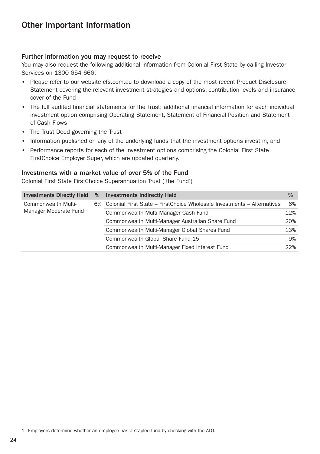## Other important information

#### Further information you may request to receive

You may also request the following additional information from Colonial First State by calling Investor Services on 1300 654 666:

- Please refer to our website [cfs.com.au](http://www.colonialfirststate.com.au) to download a copy of the most recent Product Disclosure Statement covering the relevant investment strategies and options, contribution levels and insurance cover of the Fund
- The full audited financial statements for the Trust; additional financial information for each individual investment option comprising Operating Statement, Statement of Financial Position and Statement of Cash Flows
- The Trust Deed governing the Trust
- Information published on any of the underlying funds that the investment options invest in, and
- Performance reports for each of the investment options comprising the Colonial First State FirstChoice Employer Super, which are updated quarterly.

#### Investments with a market value of over 5% of the Fund

Colonial First State FirstChoice Superannuation Trust ('the Fund')

| <b>Investments Directly Held</b>             | % | <b>Investments Indirectly Held</b>                                         | %   |
|----------------------------------------------|---|----------------------------------------------------------------------------|-----|
| Commonwealth Multi-<br>Manager Moderate Fund |   | 6% Colonial First State – FirstChoice Wholesale Investments – Alternatives | 6%  |
|                                              |   | Commonwealth Multi Manager Cash Fund                                       | 12% |
|                                              |   | Commonwealth Multi-Manager Australian Share Fund                           | 20% |
|                                              |   | Commonwealth Multi-Manager Global Shares Fund                              | 13% |
|                                              |   | Commonwealth Global Share Fund 15                                          | 9%  |
|                                              |   | Commonwealth Multi-Manager Fixed Interest Fund                             | 22% |

<sup>1</sup> Employers determine whether an employee has a stapled fund by checking with the ATO.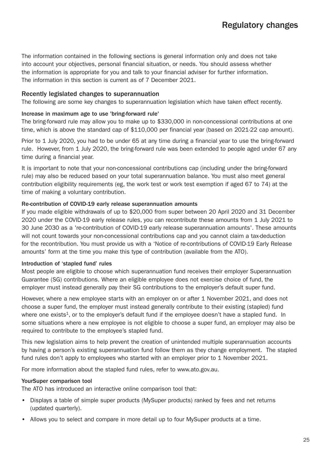The information contained in the following sections is general information only and does not take into account your objectives, personal financial situation, or needs. You should assess whether the information is appropriate for you and talk to your financial adviser for further information. The information in this section is current as of 7 December 2021.

#### Recently legislated changes to superannuation

The following are some key changes to superannuation legislation which have taken effect recently.

#### Increase in maximum age to use 'bring-forward rule'

The bring-forward rule may allow you to make up to \$330,000 in non-concessional contributions at one time, which is above the standard cap of \$110,000 per financial vear (based on 2021-22 cap amount).

Prior to 1 July 2020, you had to be under 65 at any time during a financial year to use the bring-forward rule. However, from 1 July 2020, the bring-forward rule was been extended to people aged under 67 any time during a financial year.

It is important to note that your non-concessional contributions cap (including under the bring-forward rule) may also be reduced based on your total superannuation balance. You must also meet general contribution eligibility requirements (eg, the work test or work test exemption if aged 67 to 74) at the time of making a voluntary contribution.

#### Re-contribution of COVID-19 early release superannuation amounts

If you made eligible withdrawals of up to \$20,000 from super between 20 April 2020 and 31 December 2020 under the COVID-19 early release rules, you can recontribute these amounts from 1 July 2021 to 30 June 2030 as a 're-contribution of COVID-19 early release superannuation amounts'. These amounts will not count towards your non-concessional contributions cap and you cannot claim a tax-deduction for the recontribution. You must provide us with a 'Notice of re-contributions of COVID-19 Early Release amounts' form at the time you make this type of contribution (available from the ATO).

#### Introduction of 'stapled fund' rules

Most people are eligible to choose which superannuation fund receives their employer Superannuation Guarantee (SG) contributions. Where an eligible employee does not exercise choice of fund, the employer must instead generally pay their SG contributions to the employer's default super fund.

However, where a new employee starts with an employer on or after 1 November 2021, and does not choose a super fund, the employer must instead generally contribute to their existing (stapled) fund where one exists<sup>1</sup>, or to the employer's default fund if the employee doesn't have a stapled fund. In some situations where a new employee is not eligible to choose a super fund, an employer may also be required to contribute to the employee's stapled fund.

This new legislation aims to help prevent the creation of unintended multiple superannuation accounts by having a person's existing superannuation fund follow them as they change employment. The stapled fund rules don't apply to employees who started with an employer prior to 1 November 2021.

For more information about the stapled fund rules, refer to www.ato.gov.au.

#### YourSuper comparison tool

The ATO has introduced an interactive online comparison tool that:

- Displays a table of simple super products (MySuper products) ranked by fees and net returns (updated quarterly).
- Allows you to select and compare in more detail up to four MySuper products at a time.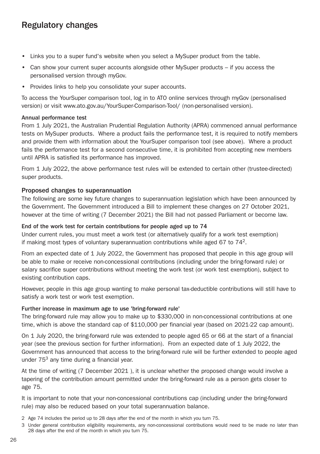## Regulatory changes

- Links you to a super fund's website when you select a MySuper product from the table.
- Can show your current super accounts alongside other MySuper products if you access the personalised version through myGov.
- Provides links to help you consolidate your super accounts.

To access the YourSuper comparison tool, log in to ATO online services through myGov (personalised version) or visit www.ato.gov.au/YourSuper-Comparison-Tool/ (non-personalised version).

#### Annual performance test

From 1 July 2021, the Australian Prudential Regulation Authority (APRA) commenced annual performance tests on MySuper products. Where a product fails the performance test, it is required to notify members and provide them with information about the YourSuper comparison tool (see above). Where a product fails the performance test for a second consecutive time, it is prohibited from accepting new members until APRA is satisfied its performance has improved.

From 1 July 2022, the above performance test rules will be extended to certain other (trustee-directed) super products.

#### Proposed changes to superannuation

The following are some key future changes to superannuation legislation which have been announced by the Government. The Government introduced a Bill to implement these changes on 27 October 2021, however at the time of writing (7 December 2021) the Bill had not passed Parliament or become law.

#### End of the work test for certain contributions for people aged up to 74

Under current rules, you must meet a work test (or alternatively qualify for a work test exemption) if making most types of voluntary superannuation contributions while aged 67 to  $74<sup>2</sup>$ .

From an expected date of 1 July 2022, the Government has proposed that people in this age group will be able to make or receive non-concessional contributions (including under the bring-forward rule) or salary sacrifice super contributions without meeting the work test (or work test exemption), subject to existing contribution caps.

However, people in this age group wanting to make personal tax-deductible contributions will still have to satisfy a work test or work test exemption.

#### Further increase in maximum age to use 'bring-forward rule'

The bring-forward rule may allow you to make up to \$330,000 in non-concessional contributions at one time, which is above the standard cap of \$110,000 per financial year (based on 2021-22 cap amount).

On 1 July 2020, the bring-forward rule was extended to people aged 65 or 66 at the start of a financial year (see the previous section for further information). From an expected date of 1 July 2022, the Government has announced that access to the bring-forward rule will be further extended to people aged under 753 any time during a financial year.

At the time of writing (7 December 2021 ), it is unclear whether the proposed change would involve a tapering of the contribution amount permitted under the bring-forward rule as a person gets closer to age 75.

It is important to note that your non-concessional contributions cap (including under the bring-forward rule) may also be reduced based on your total superannuation balance.

2 Age 74 includes the period up to 28 days after the end of the month in which you turn 75.

<sup>3</sup> Under general contribution eligibility requirements, any non-concessional contributions would need to be made no later than 28 days after the end of the month in which you turn 75.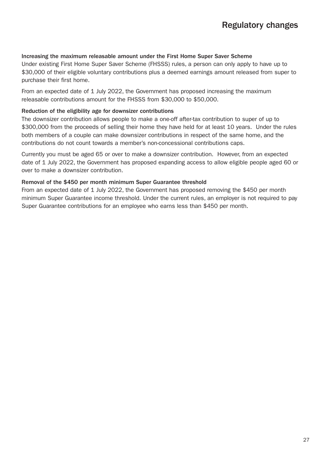#### Increasing the maximum releasable amount under the First Home Super Saver Scheme

Under existing First Home Super Saver Scheme (FHSSS) rules, a person can only apply to have up to \$30,000 of their eligible voluntary contributions plus a deemed earnings amount released from super to purchase their first home.

From an expected date of 1 July 2022, the Government has proposed increasing the maximum releasable contributions amount for the FHSSS from \$30,000 to \$50,000.

#### Reduction of the eligibility age for downsizer contributions

The downsizer contribution allows people to make a one-off after-tax contribution to super of up to \$300,000 from the proceeds of selling their home they have held for at least 10 years. Under the rules both members of a couple can make downsizer contributions in respect of the same home, and the contributions do not count towards a member's non-concessional contributions caps.

Currently you must be aged 65 or over to make a downsizer contribution. However, from an expected date of 1 July 2022, the Government has proposed expanding access to allow eligible people aged 60 or over to make a downsizer contribution.

#### Removal of the \$450 per month minimum Super Guarantee threshold

From an expected date of 1 July 2022, the Government has proposed removing the \$450 per month minimum Super Guarantee income threshold. Under the current rules, an employer is not required to pay Super Guarantee contributions for an employee who earns less than \$450 per month.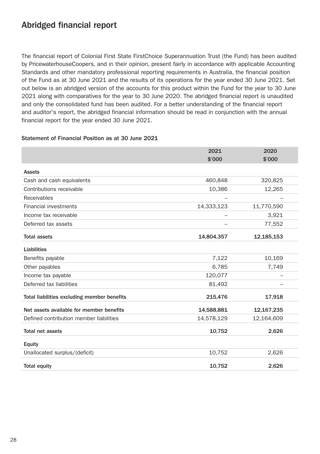## Abridged financial report

The financial report of Colonial First State FirstChoice Superannuation Trust (the Fund) has been audited by PricewaterhouseCoopers, and in their opinion, present fairly in accordance with applicable Accounting Standards and other mandatory professional reporting requirements in Australia, the financial position of the Fund as at 30 June 2021 and the results of its operations for the year ended 30 June 2021. Set out below is an abridged version of the accounts for this product within the Fund for the year to 30 June 2021 along with comparatives for the year to 30 June 2020. The abridged financial report is unaudited and only the consolidated fund has been audited. For a better understanding of the financial report and auditor's report, the abridged financial information should be read in conjunction with the annual financial report for the year ended 30 June 2021.

#### Statement of Financial Position as at 30 June 2021

|                                             | 2021<br>\$'000 | 2020<br>\$'000 |
|---------------------------------------------|----------------|----------------|
| <b>Assets</b>                               |                |                |
| Cash and cash equivalents                   | 460,848        | 320,825        |
| Contributions receivable                    | 10,386         | 12,265         |
| Receivables                                 |                |                |
| <b>Financial investments</b>                | 14,333,123     | 11,770,590     |
| Income tax receivable                       |                | 3,921          |
| Deferred tax assets                         |                | 77,552         |
| <b>Total assets</b>                         | 14,804,357     | 12,185,153     |
| Liabilities                                 |                |                |
| Benefits payable                            | 7,122          | 10,169         |
| Other payables                              | 6,785          | 7,749          |
| Income tax payable                          | 120,077        |                |
| Deferred tax liabilities                    | 81,492         |                |
| Total liabilities excluding member benefits | 215,476        | 17,918         |
| Net assets available for member benefits    | 14,588,881     | 12,167,235     |
| Defined contribution member liabilities     | 14,578,129     | 12,164,609     |
| Total net assets                            | 10,752         | 2,626          |
| Equity                                      |                |                |
| Unallocated surplus/(deficit)               | 10,752         | 2,626          |
| <b>Total equity</b>                         | 10,752         | 2,626          |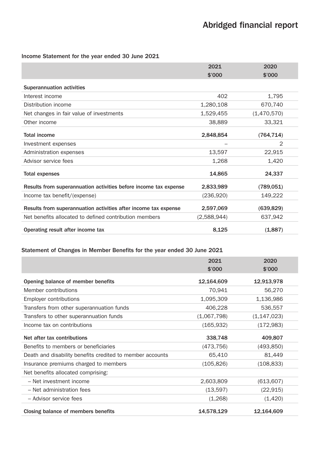#### Income Statement for the year ended 30 June 2021

|                                                                  | 2021        | 2020        |
|------------------------------------------------------------------|-------------|-------------|
|                                                                  | \$'000      | \$'000      |
| <b>Superannuation activities</b>                                 |             |             |
| Interest income                                                  | 402         | 1,795       |
| Distribution income                                              | 1,280,108   | 670,740     |
| Net changes in fair value of investments                         | 1,529,455   | (1,470,570) |
| Other income                                                     | 38,889      | 33,321      |
| <b>Total income</b>                                              | 2,848,854   | (764, 714)  |
| Investment expenses                                              |             | 2           |
| Administration expenses                                          | 13,597      | 22,915      |
| Advisor service fees                                             | 1,268       | 1,420       |
| Total expenses                                                   | 14,865      | 24,337      |
| Results from superannuation activities before income tax expense | 2,833,989   | (789,051)   |
| Income tax benefit/(expense)                                     | (236,920)   | 149,222     |
| Results from superannuation activities after income tax expense  | 2,597,069   | (639, 829)  |
| Net benefits allocated to defined contribution members           | (2,588,944) | 637,942     |
| Operating result after income tax                                | 8,125       | (1,887)     |

#### Statement of Changes in Member Benefits for the year ended 30 June 2021

|                                                           | 2021<br>\$'000 | 2020<br>\$'000 |
|-----------------------------------------------------------|----------------|----------------|
| Opening balance of member benefits                        | 12,164,609     | 12,913,978     |
| Member contributions                                      | 70,941         | 56,270         |
| <b>Employer contributions</b>                             | 1,095,309      | 1,136,986      |
| Transfers from other superannuation funds                 | 406,228        | 536,557        |
| Transfers to other superannuation funds                   | (1,067,798)    | (1, 147, 023)  |
| Income tax on contributions                               | (165, 932)     | (172, 983)     |
| Net after tax contributions                               | 338,748        | 409,807        |
| Benefits to members or beneficiaries                      | (473, 756)     | (493, 850)     |
| Death and disability benefits credited to member accounts | 65,410         | 81,449         |
| Insurance premiums charged to members                     | (105, 826)     | (108, 833)     |
| Net benefits allocated comprising:                        |                |                |
| - Net investment income                                   | 2,603,809      | (613, 607)     |
| - Net administration fees                                 | (13,597)       | (22, 915)      |
| - Advisor service fees                                    | (1,268)        | (1,420)        |
| Closing balance of members benefits                       | 14,578,129     | 12,164,609     |